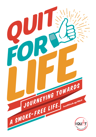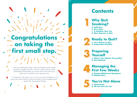## **Congratulations on taking the first small step.**

Just by reading this book, you've already moved ahead towards a smoke-free life – that's a small victory worth celebrating! Remember to do the same each time you overcome a hurdle in your quit journey.

*"I smoked for 25 years, but I'm now a proud triathlete at 53 years old. Know that it's never too late to start stubbing out." – Justin Tan, Successful Quitter*

## **Contents**

#### **Why Quit Smoking? 11**

**a. Reflection b. Set a Date c. A Healthier New You d. More Reasons to Quit**



**3**

**3**

**4**

# **Ready to Quit?**<br> **22 B. Preparation Checklist**<br> **22 B. Preparation Checklist**

**a. Your Reason to Quit**

**Preparing Yourself**

**a. What's Your Quitter Personality? b. Quit Methods**

#### **Managing the First Few Weeks 4**

**a. Beating Withdrawal Symptoms b. Relapse Alert**

# **You're Not Alone**<br> **5 a.** Testimonials<br> **5 b.** We Are Here For You

**a. Testimonials**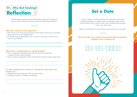

Identifying your personal motivations for quitting can help you stay on track. Start by asking yourself the following questions:

#### **Why did I smoke my first cigarette?**

- Did it have to do with circumstances at that point in time (e.g. stressed, peer pressure, social obligations)?
- Do these reasons still matter now? (e.g. Do I still need to look cool in front of my friends?)

#### **What have I sacrificed for my smoking habit?**

- Have I neglected spending time with my loved ones because I wanted to take smoke breaks?
- Have I spent on cigarettes what I should have used for other expenses?

#### **If I stop smoking now, what can I spend the extra time and money on?**

- Organising more meet-ups with my loved ones?
- Enrolling in skills or hobbies workshops?

## **Set a Date**

It won't help if you keep telling yourself that you'll start quitting someday. It's easier when you decide to quit earlier. And the best time to quit is when you're feeling less stressed – if you can, start now!

Make a commitment to kick off your quit journey on a set date.

#### **With the help of my family, friends and Quit Consultants, I pledge to quit smoking on:**

**D D M M Y Y Y Y**

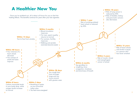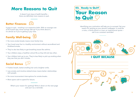## **More Reasons to Quit**

It doesn't just stop at health benefits there are definitely more reasons to quit.

#### **Better Finances**



It pays to quit – smoking is an expensive habit. With an average cost of \$13/pack/day, those savings add up! If you think about it, it's almost as if you're getting a pay raise.

## **Family Well-being**

- No more smoke breaks means more family time.
- Your loved ones live in a healthy environment without secondhand and thirdhand smoke.
- They're also less likely to get breathing issues like asthma.
- Your children enjoy a healthier school life as they fall sick less often.
- Your children look up to you. They're less likely to pick up smoking when they see that you don't smoke.

### **Social Bonus**

- Fresher breath, better-smelling hair and a brighter smile.
- Less anxiety and nicotine-related stress means better relationships with people.
- No more inconvenient interruptions for smoke breaks.
- More spare cash to spend for leisure.

What's your reason for quitting? Write it down on the next page and use it as a reminder.



Identifying your motivation will help you to succeed. Set your reason for quitting as your phone's wallpaper. It could be a note, a family photo or even an inspirational quote – use it as a constant reminder!

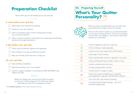## **Preparation Checklist**

Here's what you can do leading up to your quit day.

#### **A week before your quit day**



Write down your reason(s) for quitting.



- Have an emergency plan to beat unexpected cravings (e.g. a workout session).
- Talk to a Quit Consultant\* and decide if you need pharmacotherapy (treatment through medication).

#### **A day before your quit day**

- Throw away all ashtrays, lighters and cigarettes.
- Plan activities to occupy and distract yourself.
- Rally your friends and loved ones to help you.

#### **On your quit day**

- Stop smoking completely.
- Remind yourself you are a non-smoker.
- Call your support buddies or the QuitLine (1800 438 2000) if you require any help.

Before you begin your journey, know what to expect, so that you're better prepared. The following chapter will equip you with the knowledge you need.

\*Visit healthhub.sq/IQuit to find a Quit Consultant near you.

#### **03. Preparing YourselfWhat's Your Quitter Personality?** (@



When you know yourself better, you can tailor your quit methods for a higher chance of success.

Find out what kind of quitter you can become based on your past smoking patterns. It's fine if you belong to more than one category – just focus on what best reflects your old habits.

|                    | I need a cigarette as soon as I wake up.                                                                 |  |  |  |  |
|--------------------|----------------------------------------------------------------------------------------------------------|--|--|--|--|
| $\left( \ \right)$ | I think smoking is really enjoyable.                                                                     |  |  |  |  |
| $\bigcirc$         | I smoke to be more awake and to think better.                                                            |  |  |  |  |
| ∧                  | I feel weak if I don't smoke.                                                                            |  |  |  |  |
| $\mathsf{L}$       | I feel uncomfortable without a cigarette in my hand.                                                     |  |  |  |  |
| $\mathbf{I}$       | I enjoy smoking during my break or after a meal.                                                         |  |  |  |  |
| Δ                  | I need to smoke every few hours.                                                                         |  |  |  |  |
| ( )                | I am less stressed after I smoke.                                                                        |  |  |  |  |
| ( )                | I smoke when I'm angry or upset.                                                                         |  |  |  |  |
|                    | I enjoy the process of lighting up a cigarette<br>(e.g. tapping the cigarette and flicking the lighter). |  |  |  |  |
| Λ                  | I can't last half a day without smoking.                                                                 |  |  |  |  |
|                    | I sometimes find myself smoking but can't<br>remember lighting up!                                       |  |  |  |  |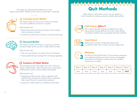The shape you selected most reflects your main "quitter personality". Based on that, here are some tips on quitting.



#### **Cravings-prone Quitter**

Your body craves nicotine so you smoke more often. It can be as addictive as heroin or cocaine.

#### What should I do?

- Spend more time around non-smokers, and in places where smoking is banned.
- Consult your pharmacist or doctor on pharmacotherapy.



#### **Stressed Quitter**

You smoke to cope with stress or to perk up. You find excuses to light up but you don't really need to smoke.

What should I do?

- Pick up a new hobby or try other forms of relaxation.
- Treat yourself with your savings from not buying cigarettes.



#### **Creature-of-Habit Quitter**

Some things just don't feel right if you don't take your regular smoke breaks. That's because you've associated smoking with certain routines, places and people.

What should I do?

- Change your daily routine. Need a cigarette with coffee? Drink orange juice instead. Enjoy a cigarette after meals? Dine at a smoke-free restaurant.
- Swap your smoke break for a (healthy) snack break.

## **Quit Methods**

When there's a will, there's a way. You can speak to a Quit Consultant to help you select a suitable quit method.



#### **Cold Turkey HIGHLY**

Pick a date and stop smoking completely from that day onwards. Sounds difficult, but many I Quit 28-Day Countdown quitters have succeeded using this method!



**3**

#### **Count Down**

Reduce your number of cigarettes day by day, or week by week. Aim to reach zero by a target date.

#### **Delaying**

Put off your next puff till later. Try your best to postpone your cigarette break by an hour or more, and progress towards not smoking for an entire day. You could be smoke-free in a week!

|     | Day 1   Day 2   Day 3   Day 4   Day 5   Day 6   Day 7 |                    |     |                           |  |
|-----|-------------------------------------------------------|--------------------|-----|---------------------------|--|
| 8am |                                                       | $9am$   11am   2pm | 6pm | $\vert$ 11pm $\vert$ QUIT |  |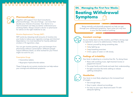## n fin fin fin fin fin fin fin fin fin



#### **Pharmacotherapy**

Together with support from Quit Consultants, pharmacotherapy – the use of drugs – can more than double your chances of success. Your doctor or a Quit Consultant can help you better understand your smoking habits. Always consult a doctor or pharmacist for advice on the right medicine to use.

#### Nicotine Replacement Therapy (NRT)

NRT works by releasing small amounts of nicotine into your body to reduce your cigarette cravings and chemical dependence. It is most beneficial for heavily-addicted smokers (>15 cigarettes a day).

You can get nicotine patches, gum and lozenges from pharmacies without a prescription. Different people require different doses, so what worked for your friend might not work for you.

#### Prescription Drugs

- Varenicline tablets
- Bupropion Hydrochloride tablets

These 2 drugs do not contain nicotine but can help reduce your cravings and withdrawal symptoms.

## **04. Managing the First Few Weeks**

## **Beating Withdrawal Symptoms**

Being mentally and physically prepared can help you get through your withdrawal symptoms. Here's what you may face in your first few weeks of quitting:



#### **Constant cravings**

As your body clears out the nicotine, you'll feel a strong urge to replenish it, due to its addictiveness. Follow the 4Ds:

- Distract yourself by doing something else.
- Delay lighting up.
- Deep breathing exercises.
- Drink a glass of water or milk slowly.

#### **Feelings of irritability**

Your brain is adjusting to a nicotine-free life. Try doing these:

- Relax with soothing music, light-hearted movies or peppermint tea/oil.
- Pre-empt family and friends and seek their understanding.
- Do light exercises like brisk walking to release uplifting endorphins.

#### **Headaches**

Your brain is most likely adapting to the increased level of oxygen.

- Get enough sleep.
- Stay in quiet, relaxed surroundings.
- Go easy on your eyes. Read and watch TV with adequate lighting.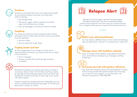

#### **Tiredness**

Nicotine is a stimulant that forces your body to feel awake. As your blood circulation improves, you'll feel fresh without smoking.

- Get enough sleep.
- Take small, regular meals to regulate your blood sugar level and boost your energy.
- Perk up with ginger or herbal tea instead of coffee.



#### **Coughing**

Your lungs are starting to function properly again and are working to clear tar, dead cells and extra mucus accumulated from the cigarettes.

- Sip warm water.
- Suck on sugar-free cough drops.

#### **Tingling hands and feet**

As more oxygen gets to your fingers and toes due to improved blood circulation, your body needs time to adapt. In the meantime:

- Go for massages.
- Distract yourself with stretching, light exercises or hobbies.



Withdrawal symptoms are positive signs that your body is recovering. Hang in there and remind yourself your reason for quitting! You could also get support from the I QUIT Club (Facebook) and pick up quit tips, or even sign up for events with fellow quitters.

However, should your symptoms become unbearable, you may want to consider pharmacotherapy (see page 14). Consult your pharmacist or doctor for advice.



Slip-ups can and do happen, but don't be discouraged. Sometimes it does take more than one quitting attempt, so don't stop trying! Here are some ways you can bounce back from a relapse and increase your chances of success the next time:

## **Adjust your pharmacotherapy**

You may require a different dose or form of pharmacotherapy. Ask your pharmacist or doctor to re-evaluate your medication.

#### **Manage stress with healthier methods**

Learn to manage stress healthily using relaxation exercises, music and self-care techniques (e.g. massages, soothing herbal tea).

## **Surround yourself with positive influences**

Stay away from situations where you'll feel tempted to smoke, and surround yourself with positive people who encourage you to quit. For more support, you can also talk to our QuitLine Consultants at 1800 438 2000.

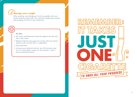## **Manage your weight**

After quitting, overindulging in food is possible with your newly-sensitive taste buds. The resultant weight gain may be discouraging, but this is only temporary.

#### Try this:

- Eat small, well-balanced meals throughout the day and don't skip meals.
- Replace high-fat and sugar-rich snacks with low-calorie options such as fresh fruit or vegetables.
- Stay hydrated.
- Increase your physical activity. Just 30 minutes a day for 5 or more days a week can do wonders – with a bonus endorphin boost!

# **REMEMBER:** 6  $\mathbf C$ TO UNDO ALL YOUR PROGRESS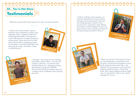## 0-0-0-0-0-0-0-0-0-0-0



Motivate yourself with these stories from other successful quitters.

**"**I used to be a heavy smoker. It got so bad that I even sacrificed my meals to buy cigarettes. Soon, I realised I couldn't let smoking get the better of me anymore. I went cold turkey for 3 weeks. During this trying period, I spent time with my loved ones, and focused on changing my ways for the better. I reminded myself that I was doing this for those I care about. Finally, I successfully quit.**"**





**"**I thought I was young and my smoking habit didn't really matter... not until it all caught up with me – my arteries were severely choked. So, I stopped smoking and started running with a SAFRA Running Club. My first marathon gave me a greater sense of fulfilment than smoking ever did.**"**

## ▖▛▃▎▛▃▏▛▖▌▀▖▐▀▎▛▃▏▛▃▎▛▅▊▜▊▐▖

**"**I had to undergo a knee surgery, so I used the opportunity to stop smoking through my recovery period. Each day was tough because I couldn't move around much. I joined the I Quit 28-Day Countdown and that helped me quit. For those trying to quit: nobody promised it'll be easy, but give yourself a chance.**"**





"When my wife and I first found out that we were expecting, we decided to quit for good. A friend recommended us some good reads she said would help. I was sceptical. But I pressed on and continued keeping myself occupied – book after book. And I really stopped smoking. Right now, I'm just glad I'm able to set a good example for my son.**"**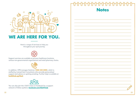# **Notes**



## **WE ARE HERE FOR YOU.**

Here's a range of services to help you throughout your quit journey.

Support services are available at primary healthcare locations, various non-governmental organisations and retail pharmacy chains.

In addition, HPB manages QuitLine (1800 438 2000), which is

staffed by trained Quit Consultants who provide personalised support and advice on quitting smoking. Further help is available at healthhub.sg/IQuit



You can also join the I QUIT Club on Facebook for a support network of fellow quitters: facebook.com/IQUITClub